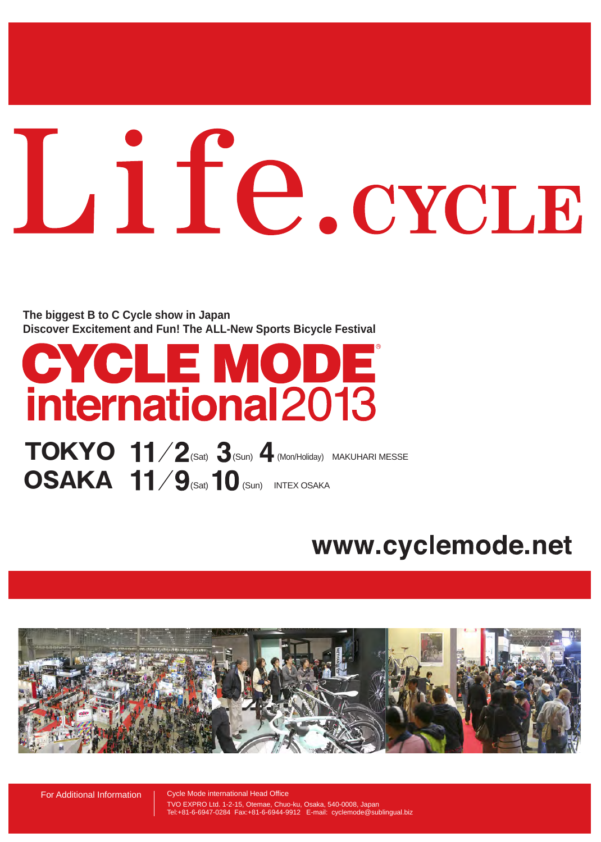# Life.cycLE

**Discover Excitement and Fun! The ALL-New Sports Bicycle Festival The biggest B to C Cycle show in Japan**

# **CYCLE MODE**<br>international2013

 $\textbf{TOKYO}$   $\textbf{11/2}$ (Sat)  $\textbf{3}$ (Sun)  $\textbf{4}$  (Mon/Holiday) MAKUHARI MESSE **OSAKA 11/9** (Sat) 10 (Sun) INTEX OSAKA

### www.cyclemode.net



For Additional Information | Cycle Mode international Head Office

TVO EXPRO Ltd. 1-2-15, Otemae, Chuo-ku, Osaka, 540-0008, Japan Tel:+81-6-6947-0284 Fax:+81-6-6944-9912 E-mail: cyclemode@sublingual.biz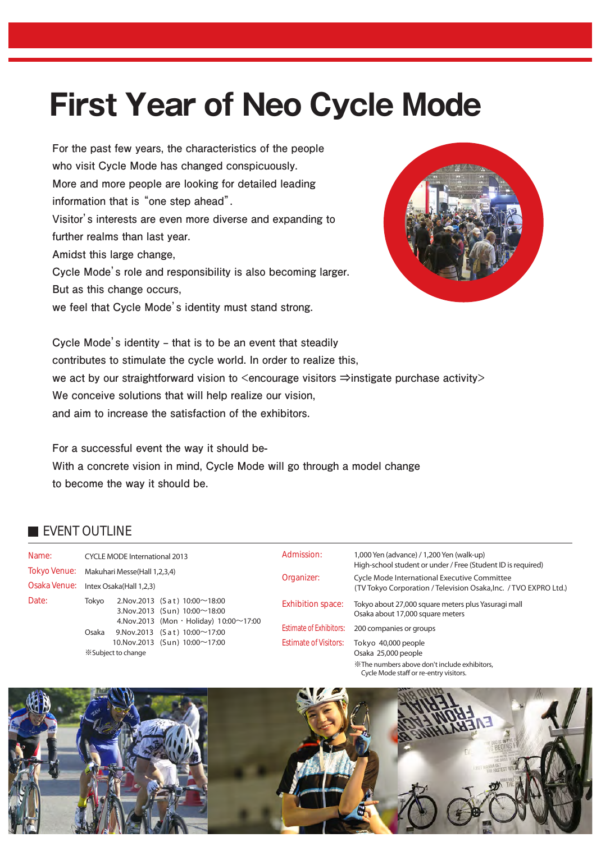### **First Year of Neo Cycle Mode**

**For the past few years, the characteristics of the people who visit Cycle Mode has changed conspicuously. More and more people are looking for detailed leading information that is "one step ahead". Visitor's interests are even more diverse and expanding to further realms than last year. Amidst this large change, Cycle Mode's role and responsibility is also becoming larger. But as this change occurs,**

**we feel that Cycle Mode's identity must stand strong.**



**Cycle Mode's identity ‒ that is to be an event that steadily contributes to stimulate the cycle world. In order to realize this,** we act by our straightforward vision to <encourage visitors ⇒instigate purchase activity> **We conceive solutions that will help realize our vision, and aim to increase the satisfaction of the exhibitors.**

**For a successful event the way it should be-With a concrete vision in mind, Cycle Mode will go through a model change to become the way it should be.**

#### EVENT OUTLINE

| Name:                               | <b>CYCLE MODE International 2013</b>                    |                                                                                                                                                                            | Admission:                                              | 1,000 Yen (advance) / 1,200 Yen (walk-up)<br>High-school student or under / Free (Student ID is required)        |  |  |
|-------------------------------------|---------------------------------------------------------|----------------------------------------------------------------------------------------------------------------------------------------------------------------------------|---------------------------------------------------------|------------------------------------------------------------------------------------------------------------------|--|--|
| <b>Tokyo Venue:</b><br>Osaka Venue: | Makuhari Messe(Hall 1,2,3,4)<br>Intex Osaka(Hall 1,2,3) |                                                                                                                                                                            | Organizer:                                              | Cycle Mode International Executive Committee<br>(TV Tokyo Corporation / Television Osaka, Inc. / TVO EXPRO Ltd.) |  |  |
| Date:                               | Tokvo                                                   | 2. Nov. 2013 (Sat) $10:00 \sim 18:00$<br>3. Nov. 2013 (Sun) $10:00 \sim 18:00$<br>4. Nov. 2013 (Mon · Holiday) $10:00 \sim 17:00$<br>9. Nov. 2013 (Sat) $10:00 \sim 17:00$ | <b>Exhibition space:</b>                                | Tokyo about 27,000 square meters plus Yasuragi mall<br>Osaka about 17,000 square meters                          |  |  |
|                                     | Osaka<br>10. Nov. 2013 (Sun) 10:00~17:00                |                                                                                                                                                                            | <b>Estimate of Exhibitors:</b><br>Estimate of Visitors: | 200 companies or groups<br>Tokyo 40,000 people                                                                   |  |  |
|                                     | *Subject to change                                      |                                                                                                                                                                            |                                                         | Osaka 25,000 people<br>XX The numbers above don't include exhibitors,                                            |  |  |

Cycle Mode staff or re-entry visitors.

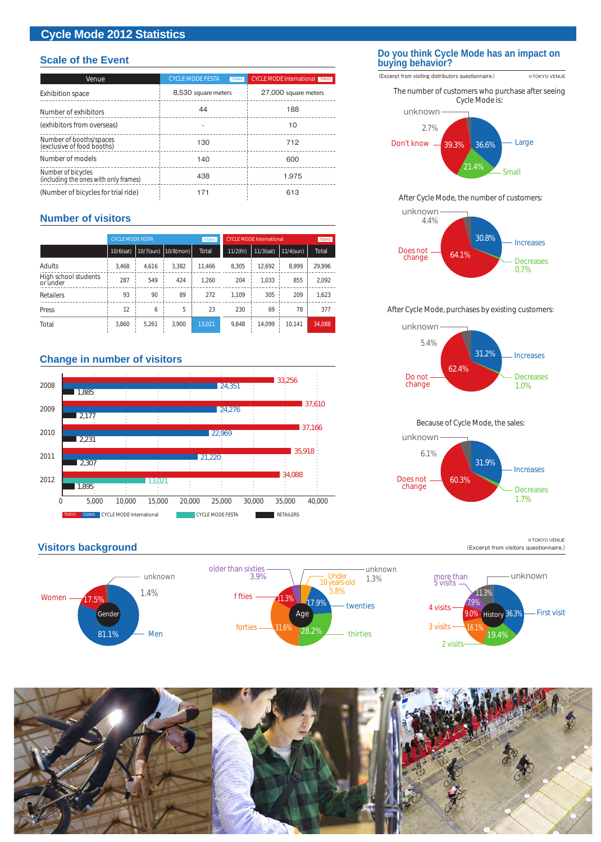#### **Cycle Mode 2012 Statistics**

#### **Scale of the Event**

| Venue                                                       | <b>CYCLE MODE FESTA</b><br><b>OSAKA</b> | <b>CYCLE MODE International TOKYO</b> |  |  |  |
|-------------------------------------------------------------|-----------------------------------------|---------------------------------------|--|--|--|
| <b>Exhibition space</b>                                     | 8,530 square meters                     | 27,000 square meters                  |  |  |  |
| Number of exhibitors                                        | 44                                      | 188                                   |  |  |  |
| (exhibitors from overseas)                                  |                                         | 10                                    |  |  |  |
| Number of booths/spaces<br>(exclusive of food booths)       | 130                                     | 712                                   |  |  |  |
| Number of models                                            | 140                                     | 600                                   |  |  |  |
| Number of bicycles<br>(including the ones with only frames) | 438                                     | 1.975                                 |  |  |  |
| (Number of bicycles for trial ride)                         | 171                                     | 613                                   |  |  |  |

#### **Number of visitors**

|                                  | <b>OSAKA</b><br><b>CYCLE MODE FESTA</b> |           |              |        | <b>CYCLE MODE International</b> | <b>TOKYO</b> |              |        |
|----------------------------------|-----------------------------------------|-----------|--------------|--------|---------------------------------|--------------|--------------|--------|
|                                  | $10/6$ (sat)                            | 10/7(sun) | $10/8$ (mon) | Total  | $11/2$ (fri)                    | $11/3$ (sat) | $11/4$ (sun) | Total  |
| Adults                           | 3.468                                   | 4.616     | 3,382        | 11.466 | 8,305                           | 12.692       | 8.999        | 29,996 |
| High school students<br>or under | 287                                     | 549       | 424          | 1.260  | 204                             | 1.033        | 855          | 2,092  |
| Retailers                        | 93                                      | 90        | 89           | 272    | 1.109                           | 305          | 209          | 1,623  |
| Press                            | 12                                      | 6         | 5            | 23     | 230                             | 69           | 78           | 377    |
| Total                            | 3,860                                   | 5,261     | 3.900        | 13.021 | 9,848                           | 14.099       | 10.141       | 34,088 |

#### **Change in number of visitors**

**Visitors background**



#### **Do you think Cycle Mode has an impact on buying behavior?**

(Excerpt from visiting distributors questionnaire.) ※TOKYO VENUE 36.6% unknown 2.7% The number of customers who purchase after seeing Cycle Mode is: Large Don't know 39.3%

#### After Cycle Mode, the number of customers:

Small



#### After Cycle Mode, purchases by existing customers:



#### Because of Cycle Mode, the sales:



#### (Excerpt from visitors questionnaire.) ※TOKYO VENUE